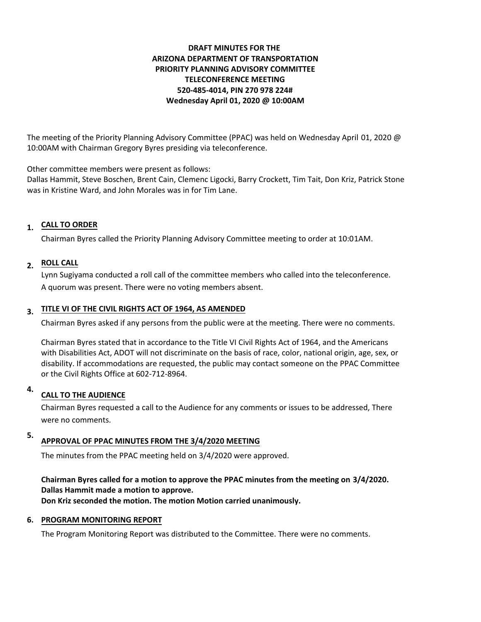## **DRAFT MINUTES FOR THE ARIZONA DEPARTMENT OF TRANSPORTATION PRIORITY PLANNING ADVISORY COMMITTEE TELECONFERENCE MEETING 520-485-4014, PIN 270 978 224# Wednesday April 01, 2020 @ 10:00AM**

The meeting of the Priority Planning Advisory Committee (PPAC) was held on Wednesday April 01, 2020 @ 10:00AM with Chairman Gregory Byres presiding via teleconference.

Other committee members were present as follows:

Dallas Hammit, Steve Boschen, Brent Cain, Clemenc Ligocki, Barry Crockett, Tim Tait, Don Kriz, Patrick Stone was in Kristine Ward, and John Morales was in for Tim Lane.

# **CALL TO ORDER 1.**

Chairman Byres called the Priority Planning Advisory Committee meeting to order at 10:01AM.

## **ROLL CALL 2.**

Lynn Sugiyama conducted a roll call of the committee members who called into the teleconference. A quorum was present. There were no voting members absent.

# **TITLE VI OF THE CIVIL RIGHTS ACT OF 1964, AS AMENDED 3.**

Chairman Byres asked if any persons from the public were at the meeting. There were no comments.

Chairman Byres stated that in accordance to the Title VI Civil Rights Act of 1964, and the Americans with Disabilities Act, ADOT will not discriminate on the basis of race, color, national origin, age, sex, or disability. If accommodations are requested, the public may contact someone on the PPAC Committee or the Civil Rights Office at 602-712-8964.

#### **CALL TO THE AUDIENCE 4.**

Chairman Byres requested a call to the Audience for any comments or issues to be addressed, There were no comments.

#### **APPROVAL OF PPAC MINUTES FROM THE 3/4/2020 MEETING 5.**

The minutes from the PPAC meeting held on 3/4/2020 were approved.

**Chairman Byres called for a motion to approve the PPAC minutes from the meeting on 3/4/2020. Dallas Hammit made a motion to approve. Don Kriz seconded the motion. The motion Motion carried unanimously.**

## **6. PROGRAM MONITORING REPORT**

The Program Monitoring Report was distributed to the Committee. There were no comments.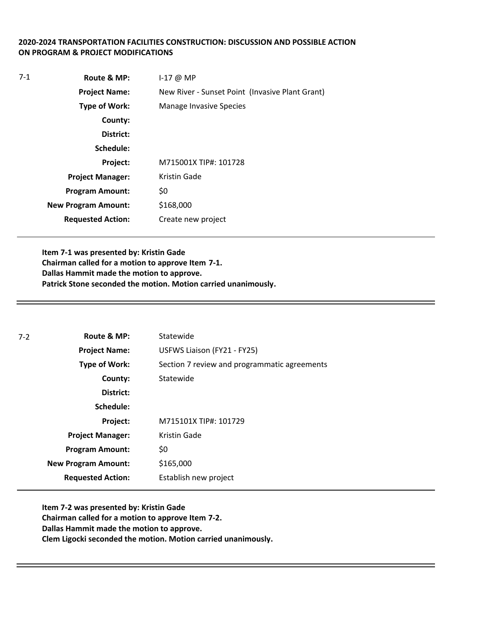## **2020-2024 TRANSPORTATION FACILITIES CONSTRUCTION: DISCUSSION AND POSSIBLE ACTION ON PROGRAM & PROJECT MODIFICATIONS**

| 7-1 | Route & MP:                | $I-17$ @ MP                                     |
|-----|----------------------------|-------------------------------------------------|
|     | <b>Project Name:</b>       | New River - Sunset Point (Invasive Plant Grant) |
|     | <b>Type of Work:</b>       | <b>Manage Invasive Species</b>                  |
|     | County:                    |                                                 |
|     | District:                  |                                                 |
|     | Schedule:                  |                                                 |
|     | Project:                   | M715001X TIP#: 101728                           |
|     | <b>Project Manager:</b>    | Kristin Gade                                    |
|     | <b>Program Amount:</b>     | \$0                                             |
|     | <b>New Program Amount:</b> | \$168,000                                       |
|     | <b>Requested Action:</b>   | Create new project                              |

**Item 7-1 was presented by: Kristin Gade Chairman called for a motion to approve Item 7-1. Dallas Hammit made the motion to approve. Patrick Stone seconded the motion. Motion carried unanimously.**

| $7-2$ | Route & MP:                | Statewide                                    |
|-------|----------------------------|----------------------------------------------|
|       | <b>Project Name:</b>       | USFWS Liaison (FY21 - FY25)                  |
|       | <b>Type of Work:</b>       | Section 7 review and programmatic agreements |
|       | County:                    | Statewide                                    |
|       | District:                  |                                              |
|       | Schedule:                  |                                              |
|       | Project:                   | M715101X TIP#: 101729                        |
|       | <b>Project Manager:</b>    | Kristin Gade                                 |
|       | <b>Program Amount:</b>     | \$0                                          |
|       | <b>New Program Amount:</b> | \$165,000                                    |
|       | <b>Requested Action:</b>   | Establish new project                        |

**Item 7-2 was presented by: Kristin Gade Chairman called for a motion to approve Item 7-2. Dallas Hammit made the motion to approve. Clem Ligocki seconded the motion. Motion carried unanimously.**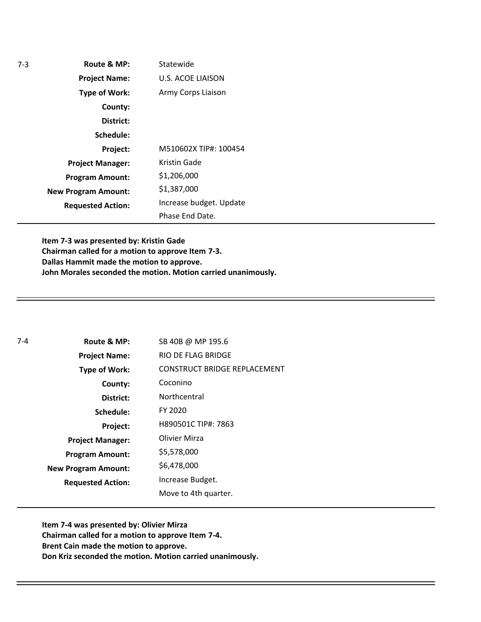| $7-3$ | Route & MP:                | Statewide                |
|-------|----------------------------|--------------------------|
|       | <b>Project Name:</b>       | <b>U.S. ACOE LIAISON</b> |
|       | <b>Type of Work:</b>       | Army Corps Liaison       |
|       | County:                    |                          |
|       | District:                  |                          |
|       | Schedule:                  |                          |
|       | Project:                   | M510602X TIP#: 100454    |
|       | <b>Project Manager:</b>    | Kristin Gade             |
|       | <b>Program Amount:</b>     | \$1,206,000              |
|       | <b>New Program Amount:</b> | \$1,387,000              |
|       | <b>Requested Action:</b>   | Increase budget. Update  |
|       |                            | Phase End Date.          |

**Item 7-3 was presented by: Kristin Gade Chairman called for a motion to approve Item 7-3. Dallas Hammit made the motion to approve. John Morales seconded the motion. Motion carried unanimously.**

| $7 - 4$ | Route & MP:                | SB 40B @ MP 195.6                   |
|---------|----------------------------|-------------------------------------|
|         | <b>Project Name:</b>       | RIO DE FLAG BRIDGE                  |
|         | <b>Type of Work:</b>       | <b>CONSTRUCT BRIDGE REPLACEMENT</b> |
|         | County:                    | Coconino                            |
|         | District:                  | Northcentral                        |
|         | Schedule:                  | FY 2020                             |
|         | Project:                   | H890501C TIP#: 7863                 |
|         | <b>Project Manager:</b>    | Olivier Mirza                       |
|         | <b>Program Amount:</b>     | \$5,578,000                         |
|         | <b>New Program Amount:</b> | \$6,478,000                         |
|         | <b>Requested Action:</b>   | Increase Budget.                    |
|         |                            | Move to 4th quarter.                |

**Item 7-4 was presented by: Olivier Mirza Chairman called for a motion to approve Item 7-4. Brent Cain made the motion to approve. Don Kriz seconded the motion. Motion carried unanimously.**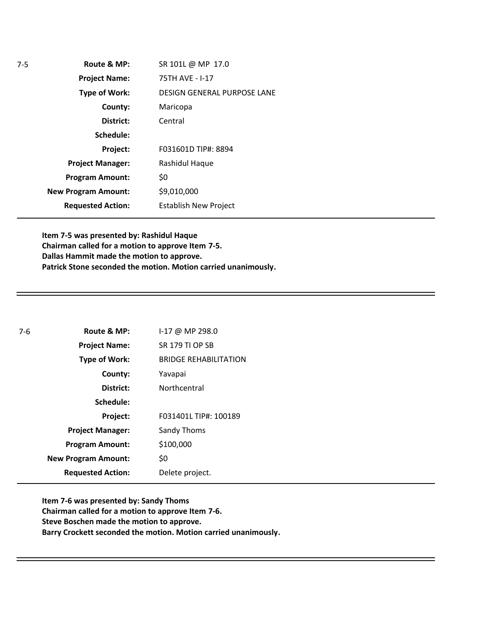| SR 101L @ MP 17.0                  |
|------------------------------------|
| 75TH AVE - I-17                    |
| <b>DESIGN GENERAL PURPOSE LANE</b> |
| Maricopa                           |
| Central                            |
|                                    |
| F031601D TIP#: 8894                |
| Rashidul Haque                     |
| \$0                                |
| \$9,010,000                        |
| <b>Establish New Project</b>       |
|                                    |

**Item 7-5 was presented by: Rashidul Haque Chairman called for a motion to approve Item 7-5. Dallas Hammit made the motion to approve. Patrick Stone seconded the motion. Motion carried unanimously.**

| $7-6$ | Route & MP:                | I-17 @ MP 298.0              |
|-------|----------------------------|------------------------------|
|       | <b>Project Name:</b>       | <b>SR 179 TI OP SB</b>       |
|       | <b>Type of Work:</b>       | <b>BRIDGE REHABILITATION</b> |
|       | County:                    | Yavapai                      |
|       | District:                  | Northcentral                 |
|       | Schedule:                  |                              |
|       | Project:                   | F031401L TIP#: 100189        |
|       | <b>Project Manager:</b>    | Sandy Thoms                  |
|       | <b>Program Amount:</b>     | \$100,000                    |
|       | <b>New Program Amount:</b> | \$0                          |
|       | <b>Requested Action:</b>   | Delete project.              |

**Item 7-6 was presented by: Sandy Thoms Chairman called for a motion to approve Item 7-6. Steve Boschen made the motion to approve. Barry Crockett seconded the motion. Motion carried unanimously.**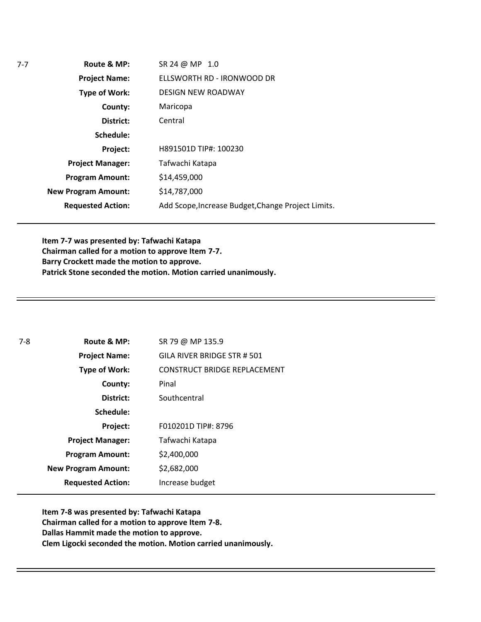**Route & MP: County: District: Schedule: Project Name: Type of Work: Project Manager: Project: Requested Action: New Program Amount: Program Amount:** SR 24 @ MP 1.0 ELLSWORTH RD - IRONWOOD DR DESIGN NEW ROADWAY Maricopa Central H891501D TIP#: 100230 Tafwachi Katapa \$14,459,000 \$14,787,000 Add Scope,Increase Budget,Change Project Limits.

**Item 7-7 was presented by: Tafwachi Katapa Chairman called for a motion to approve Item 7-7. ŒŒÇŒ}lšš made the motion to approve.** Patrick Stone seconded the motion. Motion carried unanimously X

| $7-8$ | Route & MP:                | SR 79 @ MP 135.9                    |
|-------|----------------------------|-------------------------------------|
|       | <b>Project Name:</b>       | GILA RIVER BRIDGE STR # 501         |
|       | <b>Type of Work:</b>       | <b>CONSTRUCT BRIDGE REPLACEMENT</b> |
|       | County:                    | Pinal                               |
|       | District:                  | Southcentral                        |
|       | Schedule:                  |                                     |
|       | Project:                   | F010201D TIP#: 8796                 |
|       | <b>Project Manager:</b>    | Tafwachi Katapa                     |
|       | <b>Program Amount:</b>     | \$2,400,000                         |
|       | <b>New Program Amount:</b> | \$2,682,000                         |
|       | <b>Requested Action:</b>   | Increase budget                     |

**Item 7-8 was presented by: Tafwachi Katapa Chairman called for a motion to approve Item 7-8. Dallas Hammit made the motion to approve. Clem Ligocki seconded the motion. Motion carried unanimouslyX**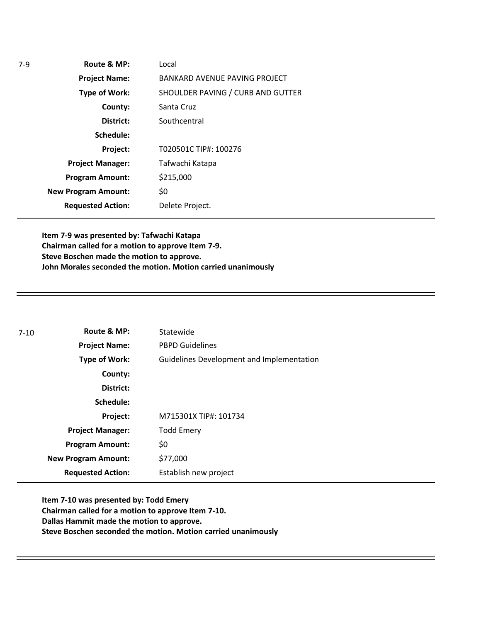| Route & MP:                | Local                             |
|----------------------------|-----------------------------------|
| <b>Project Name:</b>       | BANKARD AVENUE PAVING PROJECT     |
| <b>Type of Work:</b>       | SHOULDER PAVING / CURB AND GUTTER |
| County:                    | Santa Cruz                        |
| District:                  | Southcentral                      |
| Schedule:                  |                                   |
| Project:                   | T020501C TIP#: 100276             |
| <b>Project Manager:</b>    | Tafwachi Katapa                   |
| <b>Program Amount:</b>     | \$215,000                         |
| <b>New Program Amount:</b> | \$0                               |
| <b>Requested Action:</b>   | Delete Project.                   |
|                            |                                   |

**Item 7-9 was presented by: Tafwachi Katapa Chairman called for a motion to approve Item 7-9. Steve Boschen made the motion to approve. John Morales seconded the motion. Motion carried unanimously**

| 7-10 | Route & MP:                | Statewide                                 |
|------|----------------------------|-------------------------------------------|
|      | <b>Project Name:</b>       | <b>PBPD Guidelines</b>                    |
|      | Type of Work:              | Guidelines Development and Implementation |
|      | County:                    |                                           |
|      | District:                  |                                           |
|      | Schedule:                  |                                           |
|      | Project:                   | M715301X TIP#: 101734                     |
|      | <b>Project Manager:</b>    | <b>Todd Emery</b>                         |
|      | <b>Program Amount:</b>     | \$0                                       |
|      | <b>New Program Amount:</b> | \$77,000                                  |
|      | <b>Requested Action:</b>   | Establish new project                     |

**Item 7-10 was presented by: Todd Emery Chairman called for a motion to approve Item 7-10. Dallas Hammit made the motion to approve. Steve Boschen seconded the motion. Motion carried unanimously**

7-9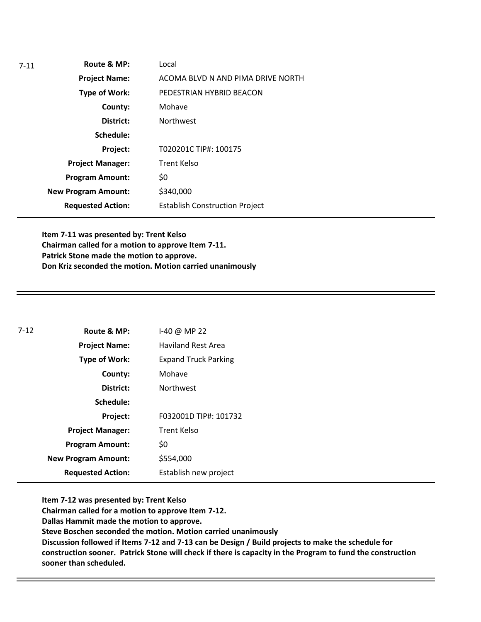**Route & MP: County: District: Schedule: Project Name: Type of Work: Project Manager: Project: Requested Action: New Program Amount:** 7-11 **Program Amount:** Local ACOMA BLVD N AND PIMA DRIVE NORTH PEDESTRIAN HYBRID BEACON Mohave Northwest T020201C TIP#: 100175 Trent Kelso \$0 \$340,000 Establish Construction Project

**Item 7-11 was presented by: Trent Kelso Chairman called for a motion to approve Item 7-11. Patrick Stone made the motion to approve. Don Kriz seconded the motion. Motion carried unanimously**

| $7-12$ | Route & MP:                | 1-40 @ MP 22                |
|--------|----------------------------|-----------------------------|
|        | <b>Project Name:</b>       | <b>Haviland Rest Area</b>   |
|        | <b>Type of Work:</b>       | <b>Expand Truck Parking</b> |
|        | County:                    | Mohave                      |
|        | District:                  | <b>Northwest</b>            |
|        | Schedule:                  |                             |
|        | Project:                   | F032001D TIP#: 101732       |
|        | <b>Project Manager:</b>    | Trent Kelso                 |
|        | <b>Program Amount:</b>     | \$0                         |
|        | <b>New Program Amount:</b> | \$554,000                   |
|        | <b>Requested Action:</b>   | Establish new project       |

**Item 7-12 was presented by: Trent Kelso Chairman called for a motion to approve Item 7-12. Dallas Hammit made the motion to approve. Steve Boschen seconded the motion. Motion carried unanimously Discussion followed if Items 7-12 and 7-13 can be Design / Build projects to make the schedule for construction sooner. Patrick Stone will check if there is capacity in the Program to fund the construction sooner than scheduled.**